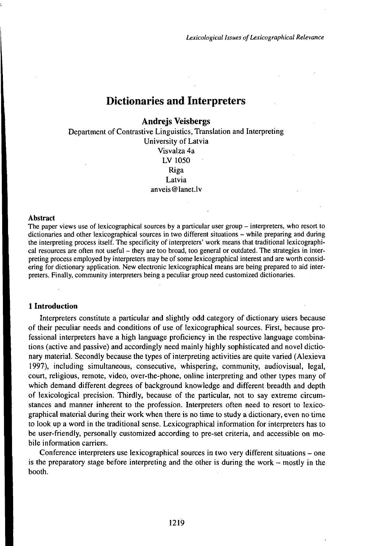# Dictionaries and Interpreters

## **Andrejs Veisbergs**

Department of Contrastive Linguistics, Translation and Interpreting University of Latvia Visvalza 4a LV 1050 Riga Latvia anveis@lanet.lv

#### **Abstract**

The paper views use of lexicographical sources by a particular user group – interpreters, who resort to dictionaries and other lexicographical sources in two different situations - while preparing and during the interpreting process itself. The specificity of interpreters' work means that traditional lexicographical resources are often not useful – they are too broad, too general or outdated. The strategies in interpreting process employed by interpreters may be of some lexicographical interest and are worth considering for dictionary application. New electronic lexicographical means are being prepared to aid interpreters. Finally, community interpreters being a peculiar group need customized dictionaries.

## **1 Introduction**

Interpreters constitute a particular and slightly odd category of dictionary uśers because of their peculiar needs and conditions of use of lexicographical sources. First, because professional interpreters have a high language proficiency in the respective language combinations (active and passive) and accordingly need mainly highly sophisticated and novel dictionary material. Secondly because the types of interpreting activities are quite varied (Alexieva 1997), including simultaneous, consecutive, whispering, community, audiovisual, legal, court, religious, remote, video, over-the-phone, online interpreting and other types many of which demand different degrees of background knowledge and different breadth and depth of lexicological precision. Thirdly, because of the particular, not to say extreme circumstances and manner inherent to the profession. Interpreters often need to resort to lexicographical material during their work when there is no time to study a dictionary, even no time to look up a word in the traditional sense. Lexicographical information for interpreters has to be user-friendly, personally customized according to pre-set criteria, and accessible on mobile information carriers.

Conference interpreters use lexicographical sources in two very different situations - one is the preparatory stage before interpreting and the other is during the work  $-$  mostly in the booth.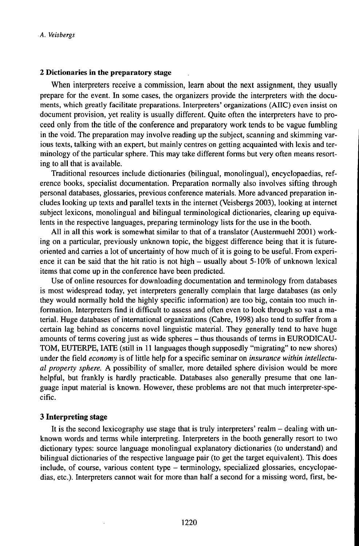## **2 Dictionaries in the preparatory stage**

When interpreters receive a commission, learn about the next assignment, they usually prepare for the event. In some cases, the organizers provide the interpreters with the documents, which greatly facilitate preparations. Interpreters' organizations (AIIC) even insist on document provision, yet reality is usually different. Quite often the interpreters have to proceed only from the title of the conference and preparatory work tends to be vague fumbling in the void. The preparation may involve reading up the subject, scanning and skimming various texts, talking with an expert, but mainly centres on getting acquainted with lexis and terminology of the particular sphere. This may take different forms but very often means resorting to all that is available.

Traditional resources include dictionaries (bilingual, monolingual), encyclopaedias, reference books, specialist documentation. Preparation normally also involves sifting through personal databases, glossaries, previous conference materials. More advanced preparation includes looking up texts and parallel texts in the internet (Veisbergs 2003), looking at internet subject lexicons, monolingual and bilingual terminological dictionaries, clearing up equivalents in the respective languages, preparing terminology lists for the use in the booth.

All in all this work is somewhat similar to that of a translator (Austermuehl 2001) working on a particular, previously unknown topic, the biggest difference being that it is futureoriented and carries a lot of uncertainty of how much of it is going to be useful. From experience it can be said that the hit ratio is not high  $-$  usually about 5-10% of unknown lexical items that come up in the conference have been predicted.

Use of online resources for downloading documentation and terminology from databases is most widespread today, yet interpreters generally complain that large databases (as only they would normally hold the highly specific information) are too big, contain too much information. Interpreters find it difficult to assess and often even to look through so vast a material. Huge databases of international organizations (Cabre, 1998) also tend to suffer from a certain lag behind as concerns novel linguistic material. They generally tend to have huge amounts of terms covering just as wide spheres - thus thousands of terms in EURODICAU-TOM, EUTERPE, IATE (still in 11 languages though supposedly "migrating" to new shores) under the field *economy* is of little help for a specific seminar on *insurance within intellectual property sphere.* A possibility of smaller, more detailed sphere division would be more helpful, but frankly is hardly practicable. Databases also generally presume that one language input material is known. However, these problems are not that much interpreter-specific.

## **3 Interpreting stage**

It is the second lexicography use stage that is truly interpreters' realm - dealing with unknown words and terms while interpreting. Interpreters in the booth generally resort to two dictionary types: source language monolingual explanatory dictionaries (to understand) and bilingual dictionaries of the respective language pair (to get the target equivalent). This does include, of course, various content type - terminology, specialized glossaries, encyclopaedias, etc.). Interpreters cannot wait for more than half a second for a missing word, first, be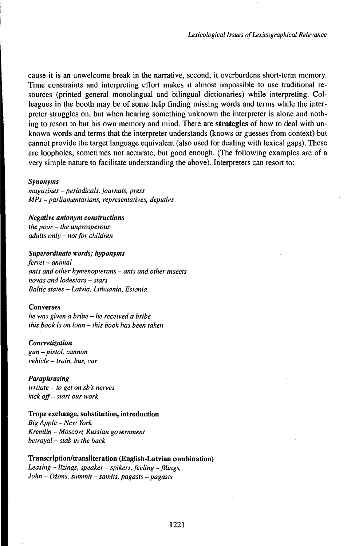cause it is an unwelcome break in the narrative, second, it overburdens short-term memory. Time constraints and interpreting effort makes it almost impossible to use traditional resources (printed general monolingual and bilingual dictionaries) while interpreting. Colleagues in the booth may be of some help finding missing words and terms while the interpreter struggles on, but when hearing something unknown the interpreter is alone and nothing to resort to but his own memory and mind. There are **strategies** of how to deal with unknown words and terms that the interpreter understands (knows or guesses from context) but cannot provide the target language equivalent (also used for dealing with lexical gaps). These are loopholes, sometimes not accurate, but good enough. (The following examples are of a very simple nature to facilitate understanding the above). Interpreters can resort to:

#### *Synonyms*

*magazines - periodicals, journals, press MPs - parliamentarians, representatives, deputies*

*Negative antonym constructions the poor - the unprosperous adults only* - *notfor children*

#### *Superordinate words; hyponyms*

*ferret - animal ants and other hymenopterans - ants and other insects novas and lodestars -stars Baltic states - Latvia, Lithuania, Estonia*

#### **Converses**

*he was given <sup>a</sup> bribe - he received <sup>a</sup> bribe this book is on loan - this book hasbeen taken*

*Concretization gun - pistol, cannon vehicle - train, bus, car*

*Paraphrasing irritate - to get on sb 's nerves kick off- start our work* 

#### **Trope exchange, substitution, introduction**

*Big Apple - New York Kremlin* - *Moscow, Russian government betrayal -stab in the back*

**Transcription/transliteration (English-Latvian combination)** *Leasing - lTzings, speaker - spTkers, feeling -filings, John - Dions, summit -samits, pagasts - pagasts*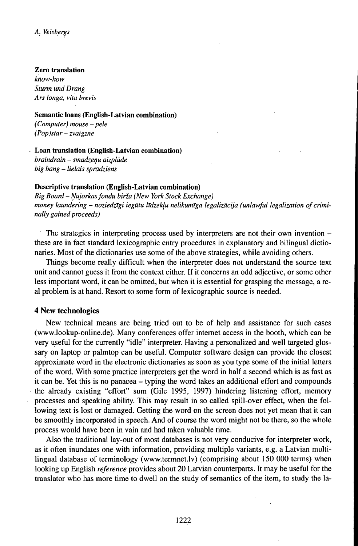#### **Zero translation**

*know-how Sturm und Drang Ars longa, vita brevis*

## **Semantic loans (English-Latvian combination)** *(Computer) mouse - pele*

*(Pop)star*-*zvaigzne*

**Loan translation (English-Latvian combination)** *braindrain -smadzenu aizplude big bang - lielais spradziens*

## **Descriptive translation (English-Latvian combination)**

*Big Board - Nujorkasfondu biria (New York Stock Exchange) money laundering - noziedzTgi iegutu lTdzeklu nelikumlga legalizacija (unlawful legalization ofcriminally gained proceeds*)

The strategies in interpreting process used by interpreters are not their own invention – these are in fact standard lexicographic entry procedures in explanatory and bilingual dictionaries. Most of the dictionaries use some of the above strategies, while avoiding others.

Things become really difficult when the interpreter does not understand the source text unit and cannot guess it from the context either. If it concerns an odd adjective, or some other less important word, it can be omitted, but when it is essential for grasping the message, a real problem is at hand. Resort to some form of lexicographic source is needed.

### **4 New technologies**

New technical means are being tried out to be of help and assistance for such cases (www.lookup-online.de). Many conferences offer internet access in the booth, which can be very useful for the currently "idle" interpreter. Having a personalized and well targeted glossary on laptop or palmtop can be useful. Computer software design can provide the closest approximate word in the electronic dictionaries as soon as you type some of the initial letters of the word. With some practice interpreters get the word in half a second which is as fast as it can be. Yet this is no panacea - typing the word takes an additional effort and compounds the already existing "effort" sum (Gile 1995, 1997) hindering listening effort, memory processes and speaking ability. This may result in so called spill-over effect, when the following text is lost or damaged. Getting the word on the screen does not yet mean that it can be smoothly incorporated in speech. And of course the word might not be there, so the whole process would have been in vain and had taken valuable time.

Also the traditional lay-out of most databases is not very conducive for interpreter work, as it often inundates one with information, providing multiple variants, e.g. a Latvian multilingual database of terminology (www.termnet.lv) (comprising about 150 000 terms) when looking up English *reference* provides about 20 Latvian counterparts. It may be useful for the translator who has more time to dwell on the study of semantics of the item, to study the la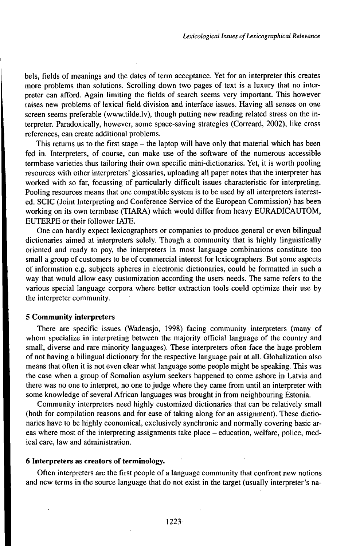bels, fields of meanings and the dates of term acceptance. Yet for an interpreter this creates more problems than solutions. Scrolling down two pages of text is a luxury that no interpreter can afford. Again limiting the fields of search seems very important. This however raises new problems of lexical field division and interface issues. Having all senses on one screen seems preferable (www.tilde.lv), though putting new reading related stress on the interpreter. Paradoxically, however, some space-saving strategies (Correard, 2002), like cross references, can create additional problems.

This returns us to the first stage – the laptop will have only that material which has been fed in. Interpreters, of course, can make use of the software of the numerous accessible termbase varieties thus tailoring their own specific mini-dictionaries. Yet, it is worth pooling resources with other interpreters' glossaries, uploading all paper notes that the interpreter has worked with so far, focussing of particularly difficult issues characteristic for interpreting. Pooling resources means that one compatible system is to be used by all interpreters interested. SCIC (Joint Interpreting and Conference Service of the European Commission) has been working on its own termbase (TIARA) which would differ from heavy EURADICAUTOM, EUTERPE or their follower IATE.

One can hardly expect lexicographers or companies to produce general or even bilingual dictionaries aimed at interpreters solely. Though a community that is highly linguistically oriented and ready to pay, the interpreters in most language combinations constitute too small a group of customers to be of commercial interest for lexicographers. But some aspects of information e.g. subjects spheres in electronic dictionaries, could be formatted in such a way that would allow easy customization according the users needs. The same refers to the various special language corpora where better extraction tools could optimize their use by the interpreter community.

## **5 Community interpreters**

There are specific issues (Wadensjo, 1998) facing community interpreters (many of whom specialize in interpreting between the majority official language of the country and small, diverse and rare minority languages). These interpreters often face the huge problem of not having a bilingual dictionary for the respective language pair at all. Globalization also means that often it is not even clear what language some people might be speaking. This was the case when a group of Somalian asylum seekers happened to come ashore in Latvia and there was no one to interpret, no one to judge where they came from until an interpreter with some knowledge of several African languages was brought in from neighbouring Estonia.

Community interpreters need highly customized dictionaries that can be relatively small (both for compilation reasons and for ease of taking along for an assignment). These dictionaries have to be highly economical, exclusively synchronic and normally covering basic areas where most of the interpreting assignments take place - education, welfare, police, medical care, law and administration.

## **6 Interpreters as creators of terminology.**

Often interpreters are the first people of a language community that confront new notions and new terms in the source language that do not exist in the target (usually interpreter's na-